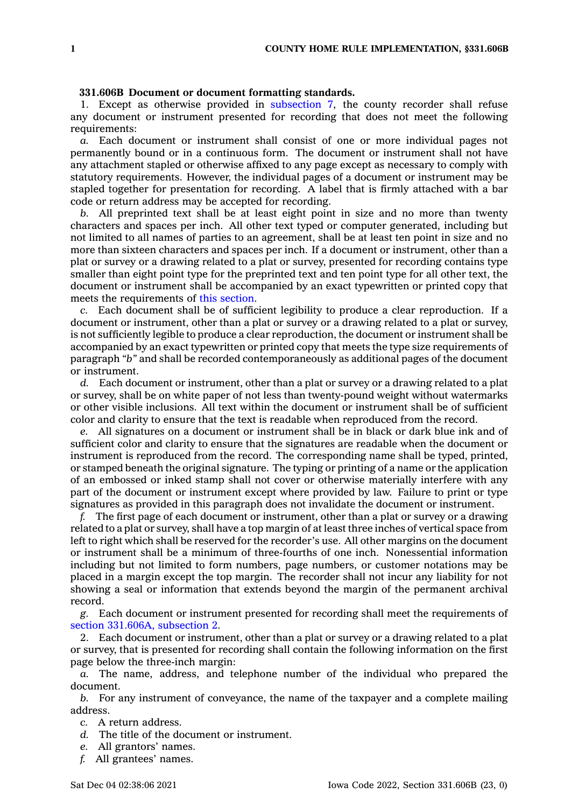## **331.606B Document or document formatting standards.**

1. Except as otherwise provided in [subsection](https://www.legis.iowa.gov/docs/code/331.606B.pdf) 7, the county recorder shall refuse any document or instrument presented for recording that does not meet the following requirements:

*a.* Each document or instrument shall consist of one or more individual pages not permanently bound or in <sup>a</sup> continuous form. The document or instrument shall not have any attachment stapled or otherwise affixed to any page except as necessary to comply with statutory requirements. However, the individual pages of <sup>a</sup> document or instrument may be stapled together for presentation for recording. A label that is firmly attached with <sup>a</sup> bar code or return address may be accepted for recording.

*b.* All preprinted text shall be at least eight point in size and no more than twenty characters and spaces per inch. All other text typed or computer generated, including but not limited to all names of parties to an agreement, shall be at least ten point in size and no more than sixteen characters and spaces per inch. If <sup>a</sup> document or instrument, other than <sup>a</sup> plat or survey or <sup>a</sup> drawing related to <sup>a</sup> plat or survey, presented for recording contains type smaller than eight point type for the preprinted text and ten point type for all other text, the document or instrument shall be accompanied by an exact typewritten or printed copy that meets the requirements of this [section](https://www.legis.iowa.gov/docs/code/331.606B.pdf).

*c.* Each document shall be of sufficient legibility to produce <sup>a</sup> clear reproduction. If <sup>a</sup> document or instrument, other than <sup>a</sup> plat or survey or <sup>a</sup> drawing related to <sup>a</sup> plat or survey, is not sufficiently legible to produce <sup>a</sup> clear reproduction, the document or instrument shall be accompanied by an exact typewritten or printed copy that meets the type size requirements of paragraph *"b"* and shall be recorded contemporaneously as additional pages of the document or instrument.

*d.* Each document or instrument, other than <sup>a</sup> plat or survey or <sup>a</sup> drawing related to <sup>a</sup> plat or survey, shall be on white paper of not less than twenty-pound weight without watermarks or other visible inclusions. All text within the document or instrument shall be of sufficient color and clarity to ensure that the text is readable when reproduced from the record.

*e.* All signatures on <sup>a</sup> document or instrument shall be in black or dark blue ink and of sufficient color and clarity to ensure that the signatures are readable when the document or instrument is reproduced from the record. The corresponding name shall be typed, printed, or stamped beneath the original signature. The typing or printing of <sup>a</sup> name or the application of an embossed or inked stamp shall not cover or otherwise materially interfere with any part of the document or instrument except where provided by law. Failure to print or type signatures as provided in this paragraph does not invalidate the document or instrument.

*f.* The first page of each document or instrument, other than <sup>a</sup> plat or survey or <sup>a</sup> drawing related to <sup>a</sup> plat or survey, shall have <sup>a</sup> top margin of at least three inches of vertical space from left to right which shall be reserved for the recorder's use. All other margins on the document or instrument shall be <sup>a</sup> minimum of three-fourths of one inch. Nonessential information including but not limited to form numbers, page numbers, or customer notations may be placed in <sup>a</sup> margin except the top margin. The recorder shall not incur any liability for not showing <sup>a</sup> seal or information that extends beyond the margin of the permanent archival record.

*g.* Each document or instrument presented for recording shall meet the requirements of section [331.606A,](https://www.legis.iowa.gov/docs/code/331.606A.pdf) subsection 2.

2. Each document or instrument, other than <sup>a</sup> plat or survey or <sup>a</sup> drawing related to <sup>a</sup> plat or survey, that is presented for recording shall contain the following information on the first page below the three-inch margin:

*a.* The name, address, and telephone number of the individual who prepared the document.

*b.* For any instrument of conveyance, the name of the taxpayer and <sup>a</sup> complete mailing address.

- *c.* A return address.
- *d.* The title of the document or instrument.
- *e.* All grantors' names.
- *f.* All grantees' names.